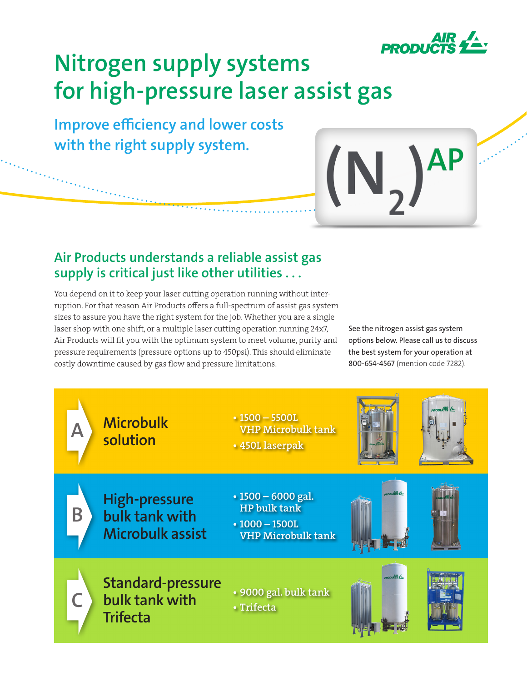

# **Nitrogen supply systems for high-pressure laser assist gas**

**Improve efficiency and lower costs with the right supply system.**

## **Air Products understands a reliable assist gas supply is critical just like other utilities . . .**

You depend on it to keep your laser cutting operation running without interruption. For that reason Air Products offers a full-spectrum of assist gas system sizes to assure you have the right system for the job. Whether you are a single laser shop with one shift, or a multiple laser cutting operation running 24x7, Air Products will fit you with the optimum system to meet volume, purity and pressure requirements (pressure options up to 450psi). This should eliminate costly downtime caused by gas flow and pressure limitations.

See the nitrogen assist gas system options below. Please call us to discuss the best system for your operation at 800-654-4567 (mention code 7282).